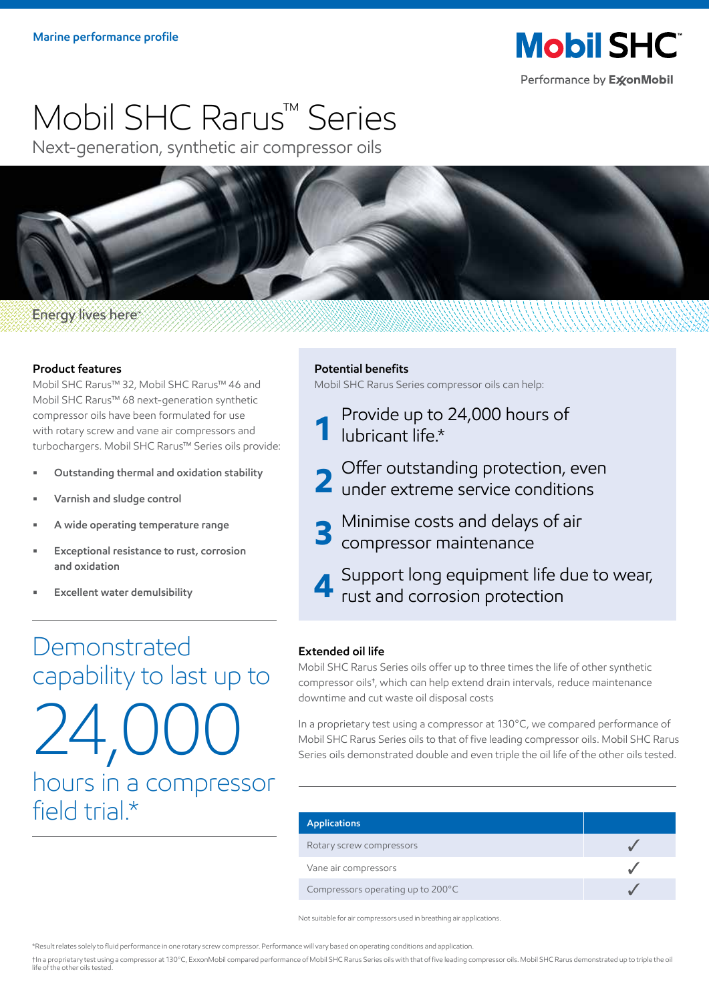

# Mobil SHC Rarus™ Series

Next-generation, synthetic air compressor oils



#### **Energy lives here**

#### **Product features**

Mobil SHC Rarus™ 32, Mobil SHC Rarus™ 46 and Mobil SHC Rarus™ 68 next-generation synthetic compressor oils have been formulated for use with rotary screw and vane air compressors and turbochargers. Mobil SHC Rarus™ Series oils provide:

- **• Outstanding thermal and oxidation stability**
- **• Varnish and sludge control**
- **A wide operating temperature range**
- **• Exceptional resistance to rust, corrosion and oxidation**
- **• Excellent water demulsibility**

## Demonstrated capability to last up to  $24,0$ hours in a compressor field trial.\*

#### **Potential benefits**

Mobil SHC Rarus Series compressor oils can help:

- **1** Provide up to 24,000 hours of lubricant life.\*
- 2 Offer outstanding protection, even<br> **2** under extreme service conditions
- **3** Minimise costs and delays of air compressor maintenance
- **4** Support long equipment life due to wear,<br>**1** rust and corrosion protection

#### **Extended oil life**

Mobil SHC Rarus Series oils offer up to three times the life of other synthetic compressor oils**†** , which can help extend drain intervals, reduce maintenance downtime and cut waste oil disposal costs

In a proprietary test using a compressor at 130°C, we compared performance of Mobil SHC Rarus Series oils to that of five leading compressor oils. Mobil SHC Rarus Series oils demonstrated double and even triple the oil life of the other oils tested.

| <b>Applications</b>               |  |
|-----------------------------------|--|
| Rotary screw compressors          |  |
| Vane air compressors              |  |
| Compressors operating up to 200°C |  |

Not suitable for air compressors used in breathing air applications.

\*Result relates solely to fluid performance in one rotary screw compressor. Performance will vary based on operating conditions and application.

†In a proprietary test using a compressor at 130°C, ExxonMobil compared performance of Mobil SHC Rarus Series oils with that of five leading compressor oils. Mobil SHC Rarus demonstrated up to triple the oil life of the other oils tested.